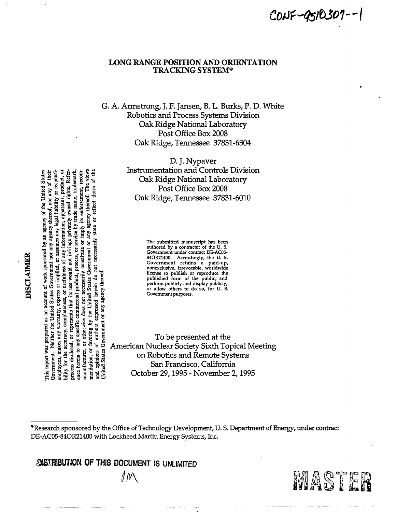CONF-9510307--1

## **LONG RANGE POSITION AND ORIENTATION TRACKING SYSTEM\***

# G. A. Armstrong, J. F. Jansen, B. L. Burks, P. D. White Robotics and Process Systems Division Oak Ridge National Laboratory Post Office Box 2008 Oak Ridge, Tennessee 37831-6304

D. J. Nypaver **Instrumentation and Controls Division** Oak Ridge National Laboratory Post Office Box 2008 Oak Ridge, Tennessee 37831-6010

> The submitted manuscript has been authored by a contractor of the U.S. Government under contract DE-AC05-84OR21400. Accordingly, the U.S. Government retains a paid-up,<br>nonexclusive, irrevocable, worldwide monexcustore, irrevocable, wortuwithe<br>license to publish or reproduce the<br>published form of the public, and<br>perform publicly and display publicly,<br>or allow others to do so, for U.S. Government purposes.

Jnited States Government or any agency thereof To be presented at the American Nuclear Society Sixth Topical Meeting on Robotics and Remote Systems San Francisco, California October 29, 1995 - November 2, 1995

POISTRIBUTION OF THIS DOCUMENT IS UNLIMITED ∥M

ម្ពុ



DISCLAIMER

**States** 

any information, apparatus, product, or by the United States Government or any agency thereof. The views ence herein to any specific commercial product, process, or service by trade name, trademark, Government. Neither the United States Government nor any agency thereof, nor any of their legal liability or responsior represents that its use would not infringe privately owned rights. Referor otherwise does not necessarily constitute or imply its endorsement, recom-This report was prepared as an account of work sponsored by an agency of the United reflect those necessarily state or employees, makes any warranty, express or implied, or assumes any l 능 ă bility for the accuracy, completeness, or usefulness herein do opinions of authors expressed or favoring process disclosed, manufacturer, mendation,

ಕ

<sup>\*</sup>Research sponsored by the Office of Technology Development, U.S. Department of Energy, under contract DE-AC05-84OR21400 with Lockheed Martin Energy Systems, Inc.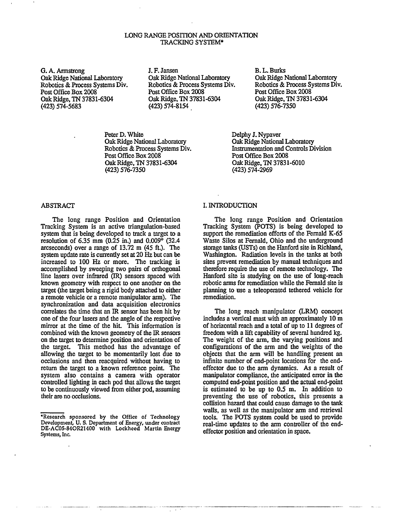#### LONG RANGE POSITION AND ORIENTATION TRACKING SYSTEM\*

G. A. Armstrong Oak Ridge National Laboratory Robotics & Process Systems Div. Post Office Box 2008 Oak Ridge, TN 37831-6304 (423) 574-5683

J. F. Jansen Oak Ridge National Laboratory Robotics & Process Systems Div. Post Office Box 2008 Oak Ridge, TN 37831-6304 (423) 574-8154

Peter D. White Oak Ridge National Laboratory Robotics & Process Systems Div. Post Office Box 2008 Oak Ridge, TN 37831-6304 (423) 576-7350

B. L. Burks Oak Ridge National Laboratory Robotics & Process Systems Div. Post Office Box 2008 Oak Ridge, TN 37831-6304 (423) 576-7350

Delphy J. Nypaver Oak Ridge National Laboratory Instrumentation and Controls Division Post Office Box 2008 Oak Ridge, TN 37831-6010 (423)574-2969

#### ABSTRACT

The long range Position and Orientation Tracking System is an active triangulation-based system that is being developed to track a target to a resolution of 6.35 mm (0.25 in.) and 0.009° (32.4 arcseconds) over a range of 13.72 m (45 ft.). The system update rate is currently set at 20 Hz but can be increased to 100 Hz or more. The tracking is accomplished by sweeping two pairs of orthogonal line lasers over infrared (IR) sensors spaced with known geometry with respect to one another on the target (the target being a rigid body attached to either a remote vehicle or a remote manipulator arm). The synchronization and data acquisition electronics correlates the time that an IR sensor has been hit by one of the four lasers and the angle of the respective mirror at the time of the hit. This information is combined with the known geometry of the IR sensors on the target to determine position and orientation of the target. This method has the advantage of allowing the target to be momentarily lost due to occlusions and then reacquired without having to return the target to a known reference point. The system also contains a camera with operator controlled lighting in each pod that allows the target to be continuously viewed from either pod, assuming their are no occlusions.

### I. INTRODUCTION

The long range Position and Orientation Tracking System (POTS) is being developed to support the remediation efforts of the Fernald K-65 Waste Silos at Fernald, Ohio and the underground storage tanks (USTs) on the Hanford site in Richland, Washington. Radiation levels in the tanks at both sites prevent remediation by manual techniques and therefore require the use of remote technology. The Hanford site is studying on the use of long-reach robotic arms for remediation while the Fernald site is planning to use a teleoperated tethered vehicle for remediation.

The long reach manipulator (LRM) concept includes a vertical mast with an approximately 10 m of horizontal reach and a total of up to 11 degrees of freedom with a lift capability of several hundred kg. The weight of the arm, the varying positions and configurations of the arm and the weights of the objects that the arm will be handling present an infinite number of end-point locations for the endeffector due to the arm dynamics. As a result of manipulator compliance, the anticipated error in the computed end-point position and the actual end-point is estimated to be up to 0.5 m. In addition to preventing the use of robotics, this presents a collision hazard that could cause damage to the tank walls, as well as the manipulator arm and retrieval tools. The POTS system could be used to provide real-time updates to the arm controller of the endeffector position and orientation in space.

<sup>•</sup>Research sponsored by the Office of Technology Development, U. S. Department of Energy, under contract DE-AC05-84OR21400 with Lockheed Martin Energy Systems, Inc.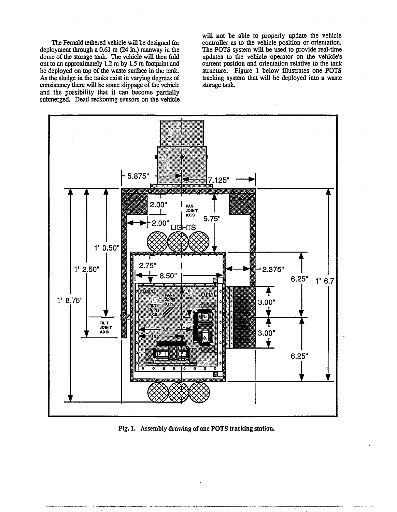The Fernald tethered vehicle will be designed for deployment through a 0.61 m (24 in.) manway in the dome of the storage tank. The vehicle will then fold out to an approximately 1.2 m by 1.5 m footprint and be deployed on top of the waste surface in the tank. As the sludge in the tanks exist in varying degrees of consistency there will be some slippage of the vehicle and the possibility that it can become partially submerged. Dead reckoning sensors on the vehicle will not be able to properly update the vehicle controller as to the vehicle position or orientation. The POTS system will be used to provide real-time updates to the vehicle operator on the vehicle's current position and orientation relative to the tank structure. Figure 1 below illustrates one POTS tracking system that will be deployed into a waste storage tank.



Fig. 1. Assembly drawing of one POTS tracking station.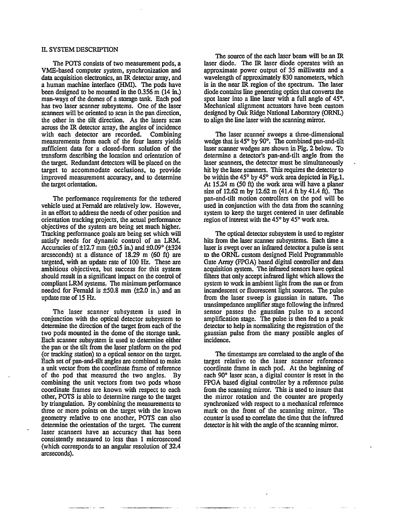#### H. SYSTEM DESCRIPTION

The POTS consists of two measurement pods, a VME-based computer system, synchronization and data acquisition electronics, an IR detector array, and a human machine interface (HMT). The pods have been designed to be mounted in the  $0.356$  m  $(14 \text{ in.})$ man-ways of the domes of a storage tank. Each pod has two laser scanner subsystems. One of the laser scanners will be oriented to scan in the pan direction, the other in the tilt direction. As the lasers scan across the IR detector array, the angles of incidence with each detector are recorded. Combining measurements from each of the four lasers yields sufficient data for a closed-form solution of the transform describing the location and orientation of the target. Redundant detectors will be placed on the target to accommodate occlusions, to provide improved measurement accuracy, and to determine the target orientation.

The performance requirements for the tethered vehicle used at Fernald are relatively low. However, in an effort to address the needs of other position and orientation tracking projects, the actual performance objectives of the system are being set much higher. Tracking performance goals are being set which will satisfy needs for dynamic control of an LRM. Accuracies of  $\pm 12.7$  mm ( $\pm 0.5$  in.) and  $\pm 0.09$ ° ( $\pm 324$ arcseconds) at a distance of 18.29 m (60 ft) are targeted, with an update rate of 100 Hz. These are ambitious objectives, but success for this system should result in a significant impact on the control of compliant LRM systems. The minimum performance needed for Fernald is  $\pm 50.8$  mm ( $\pm 2.0$  in.) and an update rate of 15 Hz.

The laser scanner subsystem is used in conjunction with the optical detector subsystem to determine the direction of the target from each of the two pods mounted in the dome of the storage tank. Each scanner subsystem is used to determine either the pan or the tilt from the laser platform on the pod (or tracking station) to a optical sensor on the target. Each set of pan-and-tilt angles are combined to make a unit vector from the coordinate frame of reference of the pod that measured the two angles. By combining the unit vectors from two pods whose coordinate frames are known with respect to each other, POTS is able to determine range to the target by triangulation. By combining the measurements to three or more points on the target with the known geometry relative to one another, POTS can also determine the orientation of the target. The current laser scanners have an accuracy that has been consistently measured to less than 1 microsecond (which corresponds to an angular resolution of 32.4 arcseconds).

The source of the each laser beam will be an IR laser diode. The IR laser diode operates with an approximate power output of 35 milliwatts and a wavelength of approximately 830 nanometers, which is in the near IR region of the spectrum. The laser diode contains line generating optics that converts the spot laser into a line laser with a full angle of 45°. Mechanical alignment actuators have been custom designed by Oak Ridge National Laboratory (ORNL) to align the line laser with the scanning mirror.

The laser scanner sweeps a three-dimensional wedge that is 45° by 90°. The combined pan-and-tilt laser scanner wedges are shown in Fig. 2 below. To determine a detector's pan-and-tilt angle from the laser scanners, the detector must be simultaneously hit by the laser scanners. This requires the detector to be within the 45° by 45° work area depicted in Fig.l. At 15.24 m (50 ft) the work area will have a planer size of 12.62 m by 12.62 m (41.4 ft by 41.4 ft). The pan-ahd-tilt motion controllers on the pod will be used in conjunction with the data from the scanning system to keep the target centered in user definable region of interest with the 45° by 45° work area.

The optical detector subsystem is used to register hits from the laser scanner subsystems. Each time a laser is swept over an infrared detector a pulse is sent to the ORNL custom designed Field Programmable Gate Array (FPGA) based digital controller and data acquisition system. The infrared sensors have optical filters that only accept infrared light which allows the system to work in ambient light from the sun or from incandescent or fluorescent light sources. The pulse from the laser sweep is gaussian in nature. The transimpedance amplifier stage following the infrared sensor passes the gaussian pulse to a second amplification stage. The pulse is then fed to a peak detector to help in normalizing the registration of the gaussian pulse from the many possible angles of incidence.

The timestamps are correlated to the angle of the target relative to the laser scanner reference coordinate frame in each pod. At the beginning of each 90° laser scan, a digital counter is reset in the FPGA based digital controller by a reference pulse from the scanning mirror. This is used to insure that the mirror rotation and the counter are properly synchronized with respect to a mechanical reference mark on the front of the scanning mirror. The counter is used to correlate the time that the infrared detector is hit with the angle of the scanning mirror.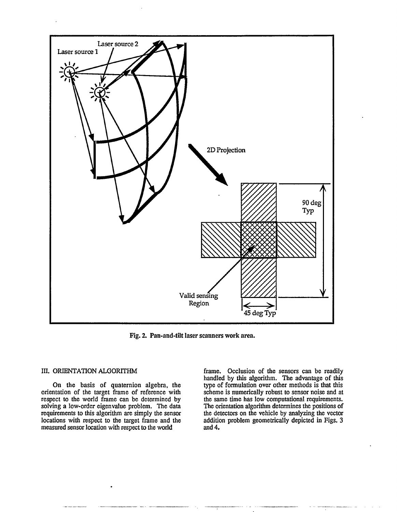

Fig. 2. Pan-and-tilt laser scanners work area.

#### III. ORIENTATION ALGORITHM

On the basis of quaternion algebra, the orientation of the target frame of reference with respect to the world frame can be determined by solving a low-order eigenvalue problem. The data requirements to this algorithm are simply the sensor locations with respect to the target frame and the measured sensor location with respect to the world

frame. Occlusion of the sensors can be readily handled by this algorithm. The advantage of this type of formulation over other methods is that this scheme is numerically robust to sensor noise and at the same time has low computational requirements. The orientation algorithm determines the positions of the detectors on the vehicle by analyzing the vector addition problem geometrically depicted in Figs. 3 and 4.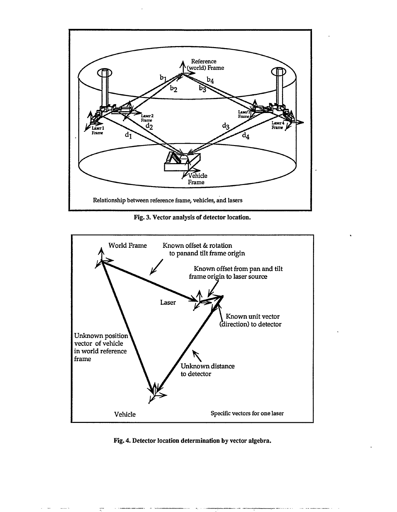

Fig. 3. Vector analysis of detector location.



Fig. 4. Detector location determination by vector algebra.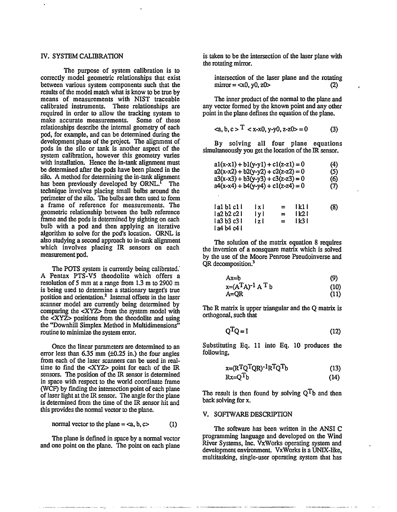The purpose of system calibration is to correctly model geometric relationships that exist between various system components such that the results of the model match what is know to be true by means of measurements with NIST traceable calibrated instruments. These relationships are required in order to allow the tracking system to make accurate measurements. Some of these relationships describe the internal geometry of each pod, for example, and can be determined during the development phase of the project. The alignment of pods in the silo or tank is another aspect of the system calibration, however this geometry varies with installation. Hence the in-tank alignment must be determined after the pods have been placed in the silo. A method for determining the in-tank alignment has been previously developed by ORNL.<sup>1</sup> The technique involves placing small bulbs around the perimeter of die silo. The bulbs are then used to form a frame of reference for measurements. The geometric relationship between the bulb reference frame and the pods is determined by sighting on each bulb with a pod and then applying an iterative algorithm to solve for the pod's location. ORNL is also studying a second approach to in-tank alignment which involves placing IR sensors on each measurement pod.

The POTS system is currently being calibrated.' A Pentax PTS-V5 theodolite which offers a resolution of 5 mm at a range from 1.3 m to 2900 m is being used to determine a stationary target's true position and orientation.<sup>2</sup> Internal offsets in the laser scanner model are currently being determined by comparing the <XYZ> from the system model with the <XYZ> positions from the theodolite and using the "Downhill Simplex Method in Multidimensions" routine to minimize the system error.

Once the linear parameters are determined to an error less than  $6.35$  mm  $(\pm 0.25)$  in.) the four angles from each of die laser scanners can be used in realtime to find die <XYZ> point for each of die IR sensors. The position of the IR sensor is determined in space with respect to the world coordinate frame (WCF) by finding the intersection point of each plane of laser light at the IR sensor. The angle for the plane is determined from die time of die IR sensor hit and this provides the normal vector to the plane.

$$
normal vector to the plane =
$$
 (1)

The plane is defined in space by a normal vector and one point on the plane. The point on each plane.

IV. SYSTEM CALIBRATION is taken to be the intersection of the laser plane with the rotating mirror.

intersection of the laser plane and the rotating mirror = 
$$
\langle x0, y0, z0 \rangle
$$
 (2)

The inner product of the normal to the plane and any vector formed by the known point and any other point in die plane defines the equation of die plane.

$$
\langle a, b, c \rangle^T \langle x - x \rangle, y - y \rangle, z - z \rangle = 0 \tag{3}
$$

By solving all four plane equations simultaneously you get die location of die IR sensor.

| $a1(x-x1) + b1(y-y1) + c1(z-z1) = 0$<br>$a2(x-x2) + b2(y-y2) + c2(z-z2) = 0$<br>$a3(x-x3) + b3(y-y3) + c3(z-z3) = 0$<br>$a4(x-x4) + b4(y-y4) + c1(z-z4) = 0$ |                     |                             |                             | (4)<br>(5)<br>(6)<br>(7) |
|--------------------------------------------------------------------------------------------------------------------------------------------------------------|---------------------|-----------------------------|-----------------------------|--------------------------|
| la1 b1 c1 l<br>l a2 b2 c2 l<br>l a3 b3 c3 l<br>l a4 b4 c4 i                                                                                                  | lxl<br>l y l<br>lzl | $=$<br>$\equiv$<br>$\equiv$ | 1 k 1 1<br>1 k2 I<br>l k3 I | (8)                      |

The solution of the matrix equation 8 requires the inversion of a nonsquare matrix which is solved by die use of die Moore Penrose Pseudoinverse and OR decomposition.<sup>3</sup>

$$
Ax=b
$$
 (9)

$$
x=(ATA)-1 AT b
$$
 (10)  
A=QR (11)

The R matrix is upper triangular and die Q matrix is orthogonal, such that

$$
Q^T Q = I \tag{12}
$$

Substituting Eq. 11 into Eq. 10 produces die following,

$$
x = (R^T Q^T Q R)^{-1} R^T Q^T b \tag{13}
$$

$$
Rx = Q^T b \tag{14}
$$

The result is then found by solving  $Q^T b$  and then back solving for x.

#### V. SOFTWARE DESCRIPTION

The software has been written in the ANSI C programming language and developed on die Wind River Systems, Inc. VxWorks operating system and development environment. VxWorks is a UNIX-like, multitasking, single-user operating system that has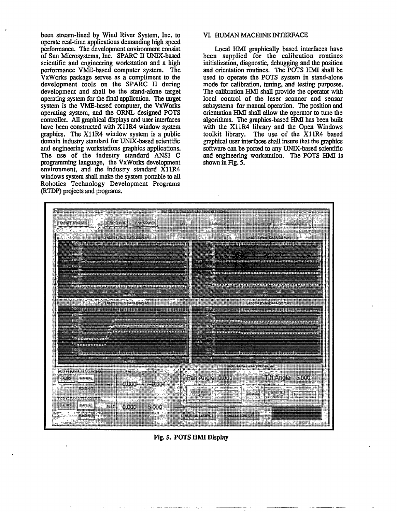been stream-lined by Wind River System, Inc. to operate real-time applications demanding high speed performance. The development environment consist of Sun Microsystems, Inc. SPARC II UNIX-based scientific and engineering workstation and a high performance VME-based computer system. The VxWorks package serves as a compliment to the development tools on the SPARC II during development and shall be the stand-alone target operating system for the final application. The target system is the VME-based computer, the VxWorks operating system, and the ORNL designed POTS controller. All graphical displays and user interfaces have been constructed with X11R4 window system graphics. The X11R4 window system is a public domain industry standard for UNIX-based scientific and engineering workstations graphics applications. The use of the industry standard ANSI C programming language, the VxWorks development environment, and the industry standard X11R4 windows system shall make the system portable to all Robotics Technology Development Programs (RTDP) projects and programs.

#### VI. HUMAN MACHINE INTERFACE

Local HMI graphically based interfaces have been supplied for the calibration routines initialization, diagnostic, debugging and the position and orientation routines. The POTS HMI shall be used to operate the POTS system in stand-alone mode for calibration, tuning, and testing purposes. The calibration HMI shall provide the operator with local control of the laser scanner and sensor subsystems for manual operation. The position and orientation HMI shall allow the operator to tune the algorithms. The graphics-based HMI has been built with the X11R4 library and the Open Windows toolkit library. The use of the X11R4 based graphical user interfaces shall insure that the graphics software can be ported to any UNIX-based scientific and engineering workstation. The POTS HMI is shown in Fig. 5.



Fig. 5. POTS HMI Display